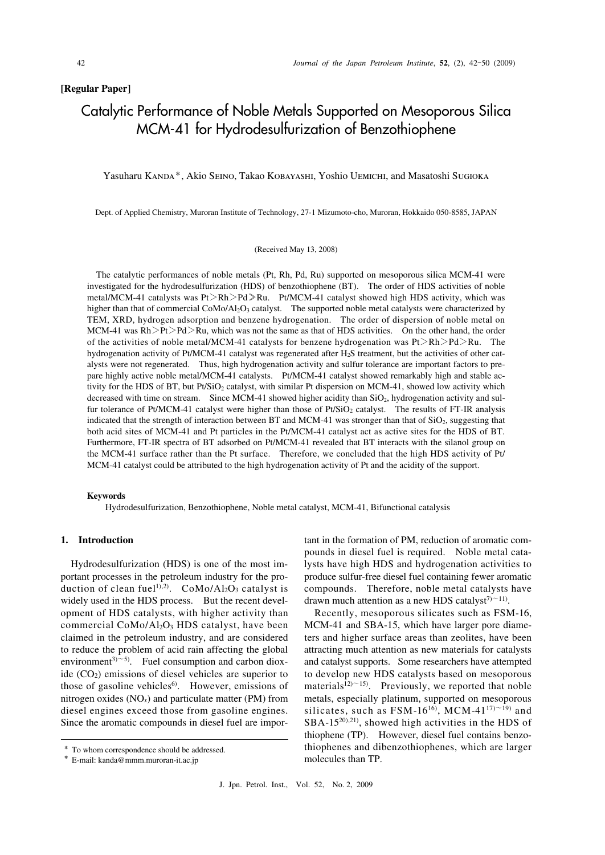# **[Regular Paper]**

# Catalytic Performance of Noble Metals Supported on Mesoporous Silica MCM-41 for Hydrodesulfurization of Benzothiophene

# Yasuharu Kanda\*, Akio Seino, Takao Kobayashi, Yoshio Uemichi, and Masatoshi Sugioka

Dept. of Applied Chemistry, Muroran Institute of Technology, 27-1 Mizumoto-cho, Muroran, Hokkaido 050-8585, JAPAN

#### (Received May 13, 2008)

 The catalytic performances of noble metals (Pt, Rh, Pd, Ru) supported on mesoporous silica MCM-41 were investigated for the hydrodesulfurization (HDS) of benzothiophene (BT). The order of HDS activities of noble metal/MCM-41 catalysts was Pt>Rh>Pd≫Ru. Pt/MCM-41 catalyst showed high HDS activity, which was higher than that of commercial CoMo/Al<sub>2</sub>O<sub>3</sub> catalyst. The supported noble metal catalysts were characterized by TEM, XRD, hydrogen adsorption and benzene hydrogenation. The order of dispersion of noble metal on MCM-41 was  $Rh > Pt > Pd > Ru$ , which was not the same as that of HDS activities. On the other hand, the order of the activities of noble metal/MCM-41 catalysts for benzene hydrogenation was  $Pt > Rh > Pd > Ru$ . The hydrogenation activity of Pt/MCM-41 catalyst was regenerated after H<sub>2</sub>S treatment, but the activities of other cat alysts were not regenerated. Thus, high hydrogenation activity and sulfur tolerance are important factors to prepare highly active noble metal/MCM-41 catalysts. Pt/MCM-41 catalyst showed remarkably high and stable activity for the HDS of BT, but Pt/SiO<sub>2</sub> catalyst, with similar Pt dispersion on MCM-41, showed low activity which decreased with time on stream. Since MCM-41 showed higher acidity than  $SiO<sub>2</sub>$ , hydrogenation activity and sulfur tolerance of Pt/MCM-41 catalyst were higher than those of Pt/SiO<sub>2</sub> catalyst. The results of FT-IR analysis indicated that the strength of interaction between BT and MCM-41 was stronger than that of  $SiO<sub>2</sub>$ , suggesting that both acid sites of MCM-41 and Pt particles in the Pt/MCM-41 catalyst act as active sites for the HDS of BT. Furthermore, FT-IR spectra of BT adsorbed on Pt/MCM-41 revealed that BT interacts with the silanol group on the MCM-41 surface rather than the Pt surface. Therefore, we concluded that the high HDS activity of Pt/ MCM-41 catalyst could be attributed to the high hydrogenation activity of Pt and the acidity of the support.

#### **Keywords**

Hydrodesulfurization, Benzothiophene, Noble metal catalyst, MCM-41, Bifunctional catalysis

Hydrodesulfurization (HDS) is one of the most imwidely used in the HDS process. But the recent devel- drawn much attention as a new HDS catalyst<sup> $7$ </sup><sup> $\sim$ 11</sup>). opment of HDS catalysts, with higher activity than Recently, mesoporous silicates such as FSM-16, commercial CoMo/Al<sub>2</sub>O<sub>3</sub> HDS catalyst, have been MCM-41 and SBA-15, which have larger pore diame claimed in the petroleum industry, and are considered ters and higher surface areas than zeolites, have been to reduce the problem of acid rain affecting the global attracting much attention as new materials for catalysts environment<sup>3) $\sim$ 5)</sup>. Fuel consumption and carbon dioxide  $(CO<sub>2</sub>)$  emissions of diesel vehicles are superior to those of gasoline vehicles<sup>6)</sup>. However, emissions of nitrogen oxides  $(NO<sub>x</sub>)$  and particulate matter (PM) from diesel engines exceed those from gasoline engines. Since the aromatic compounds in diesel fuel are imporenvironment<sup>3) $\sim$ 5). Fuel consumption and carbon diox- and catalyst supports. Some researchers have attempted</sup> ide (CO<sub>2</sub>) emissions of diesel vehicles are superior to to develop new HDS catalysts based on mesoporous those of gasoline vehicles<sup>6</sup>. However, emissions of materials<sup>12) $\sim$ 15). Previously, we reported that noble</sup> nitrogen oxides (NO*x*) and particulate matter (PM) from metals, especially platinum, supported on mesoporous diesel engines exceed those from gasoline engines. silicates, such as  $\text{FSM-16}^{16}$ , MCM-41<sup>17</sup> $\sim$ <sup>19)</sup> and Since the aromatic compounds in diesel fuel are impor- $SBA-15^{20}(21)$ , showed high activities in the HDS of

 portant processes in the petroleum industry for the pro- produce sulfur-free diesel fuel containing fewer aromatic duction of clean fuel<sup>1),2)</sup>. CoMo/Al<sub>2</sub>O<sub>3</sub> catalyst is compounds. Therefore, noble metal catalysts have **1. Introduction 1. Introduction tant in the formation of PM, reduction of aromatic com-** pounds in diesel fuel is required. Noble metal cata- Hydrodesulfurization (HDS) is one of the most im- lysts have high HDS and hydrogenation activities to produce sulfur-free diesel fuel containing fewer aromatic compounds. Therefore, noble metal catalysts have drawn much attention as a new HDS catalyst<sup>7</sup> $>11$ .

Recently, mesoporous silicates such as FSM-16, MCM-41 and SBA-15, which have larger pore diameters and higher surface areas than zeolites, have been attracting much attention as new materials for catalysts thiophene (TP). However, diesel fuel contains benzo \* To whom correspondence should be addressed. thiophenes and dibenzothiophenes, which are larger molecules than TP.

<sup>\*</sup> E-mail: kanda@mmm.muroran-it.ac.jp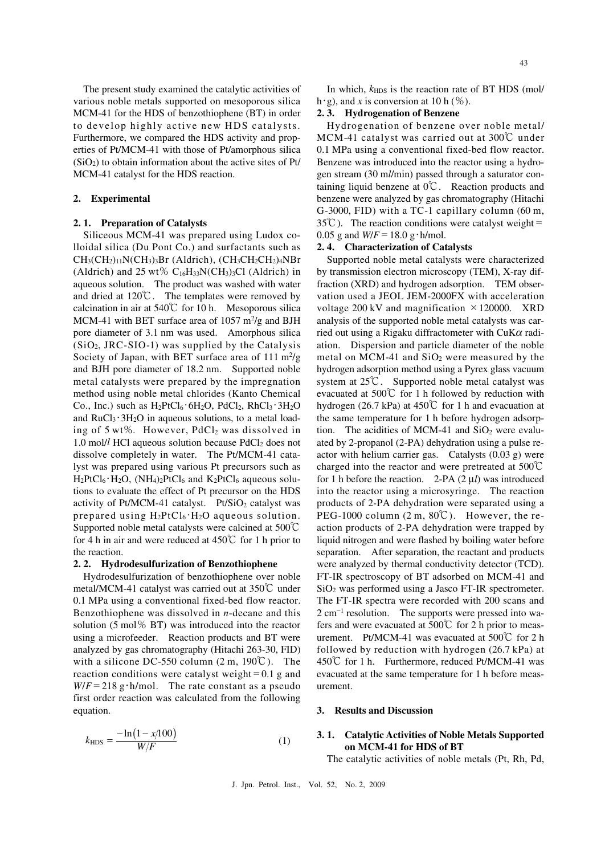The present study examined the catalytic activities of various noble metals supported on mesoporous silica MCM-41 for the HDS of benzothiophene (BT) in order to develop highly active new HDS catalysts. Furthermore, we compared the HDS activity and prop- erties of Pt/MCM-41 with those of Pt/amorphous silica  $(SiO<sub>2</sub>)$  to obtain information about the active sites of Pt/ MCM-41 catalyst for the HDS reaction.

#### **2. Experimental**

#### **2. 1. Preparation of Catalysts**

 Siliceous MCM-41 was prepared using Ludox co- lloidal silica (Du Pont Co.) and surfactants such as  $CH<sub>3</sub>(CH<sub>2</sub>)<sub>11</sub>N(CH<sub>3</sub>)<sub>3</sub>Br (Aldrich), (CH<sub>3</sub>CH<sub>2</sub>CH<sub>2</sub>)<sub>4</sub>NBr$ (Aldrich) and  $25 \text{ wt\% C}_{16}H_{33}N(CH_3)_3Cl$  (Aldrich) in aqueous solution. The product was washed with water and dried at  $120^{\circ}\text{C}$ . The templates were removed by calcination in air at  $540^{\circ}$  for 10 h. Mesoporous silica MCM-41 with BET surface area of  $1057 \text{ m}^2/\text{g}$  and BJH pore diameter of 3.1 nm was used. Amorphous silica  $(SiO<sub>2</sub>, JRC-SIO-1)$  was supplied by the Catalysis Society of Japan, with BET surface area of  $111 \text{ m}^2/\text{g}$  and BJH pore diameter of 18.2 nm. Supported noble metal catalysts were prepared by the impregnation method using noble metal chlorides (Kanto Chemical Co., Inc.) such as  $H_2PtCl_6 \cdot 6H_2O$ ,  $PdCl_2$ ,  $RhCl_3 \cdot 3H_2O$ and  $RuCl<sub>3</sub>·3H<sub>2</sub>O$  in aqueous solutions, to a metal load ing of 5 wt%. However, PdCl<sub>2</sub> was dissolved in 1.0 mol/l HCl aqueous solution because PdCl<sub>2</sub> does not dissolve completely in water. The Pt/MCM-41 cata- lyst was prepared using various Pt precursors such as  $H_2PtCl_6 \cdot H_2O$ ,  $(NH_4)_2PtCl_6$  and  $K_2PtCl_6$  aqueous solu tions to evaluate the effect of Pt precursor on the HDS activity of Pt/MCM-41 catalyst. Pt/SiO<sub>2</sub> catalyst was prepared using  $H_2PtCl_6 \cdot H_2O$  aqueous solution. Supported noble metal catalysts were calcined at 500℃ for 4 h in air and were reduced at  $450^{\circ}$  for 1 h prior to the reaction.

#### **2. 2. Hydrodesulfurization of Benzothiophene**

 Hydrodesulfurization of benzothiophene over noble metal/MCM-41 catalyst was carried out at 350℃ under 0.1 MPa using a conventional fixed-bed flow reactor. Benzothiophene was dissolved in *n*-decane and this solution (5 mol% BT) was introduced into the reactor using a microfeeder. Reaction products and BT were analyzed by gas chromatography (Hitachi 263-30, FID) with a silicone DC-550 column  $(2 \text{ m}, 190 \degree \text{C})$ . The reaction conditions were catalyst weight=0.1 g and  $W/F = 218$  g·h/mol. The rate constant as a pseudo first order reaction was calculated from the following equation.

$$
k_{\rm HDS} = \frac{-\ln(1 - x/100)}{W/F}
$$
 (1)

In which,  $k_{\text{HDS}}$  is the reaction rate of BT HDS (mol/ h · g), and *x* is conversion at 10 h  $(\%)$ .

#### **2. 3. Hydrogenation of Benzene**

 Hydrogenation of benzene over noble metal/ MCM-41 catalyst was carried out at 300℃ under 0.1 MPa using a conventional fixed-bed flow reactor. Benzene was introduced into the reactor using a hydro- gen stream (30 m*l*/min) passed through a saturator con- taining liquid benzene at 0℃. Reaction products and benzene were analyzed by gas chromatography (Hitachi G-3000, FID) with a TC-1 capillary column (60 m,  $35^{\circ}$ C). The reaction conditions were catalyst weight= 0.05 g and  $W/F = 18.0 \text{ g} \cdot \text{h/mol}$ .

#### **2. 4. Characterization of Catalysts**

 Supported noble metal catalysts were characterized by transmission electron microscopy (TEM), X-ray dif- fraction (XRD) and hydrogen adsorption. TEM obser- vation used a JEOL JEM-2000FX with acceleration voltage  $200 \, \text{kV}$  and magnification  $\times 120000$ . XRD analysis of the supported noble metal catalysts was car- ried out using a Rigaku diffractometer with CuK*α* radi- ation. Dispersion and particle diameter of the noble metal on MCM-41 and  $SiO<sub>2</sub>$  were measured by the hydrogen adsorption method using a Pyrex glass vacuum system at 25℃. Supported noble metal catalyst was evacuated at 500℃ for 1 h followed by reduction with hydrogen (26.7 kPa) at 450℃ for 1 h and evacuation at the same temperature for 1 h before hydrogen adsorption. The acidities of MCM-41 and  $SiO<sub>2</sub>$  were evalu- ated by 2-propanol (2-PA) dehydration using a pulse re- actor with helium carrier gas. Catalysts (0.03 g) were charged into the reactor and were pretreated at  $500^{\circ}$ C for 1 h before the reaction. 2-PA (2 μ*l*) was introduced into the reactor using a microsyringe. The reaction products of 2-PA dehydration were separated using a PEG-1000 column  $(2 \text{ m}, 80^{\circ}\text{C})$ . However, the re- action products of 2-PA dehydration were trapped by liquid nitrogen and were flashed by boiling water before separation. After separation, the reactant and products were analyzed by thermal conductivity detector (TCD). FT-IR spectroscopy of BT adsorbed on MCM-41 and SiO2 was performed using a Jasco FT-IR spectrometer. The FT-IR spectra were recorded with 200 scans and  $2 \text{ cm}^{-1}$  resolution. The supports were pressed into wa fers and were evacuated at 500 $\degree$  for 2 h prior to meas urement. Pt/MCM-41 was evacuated at  $500^{\circ}$  for 2 h followed by reduction with hydrogen (26.7 kPa) at 450℃ for 1 h. Furthermore, reduced Pt/MCM-41 was evacuated at the same temperature for 1 h before measurement.

#### **3. Results and Discussion**

# **3. 1. Catalytic Activities of Noble Metals Supported on MCM-41 for HDS of BT**

The catalytic activities of noble metals (Pt, Rh, Pd,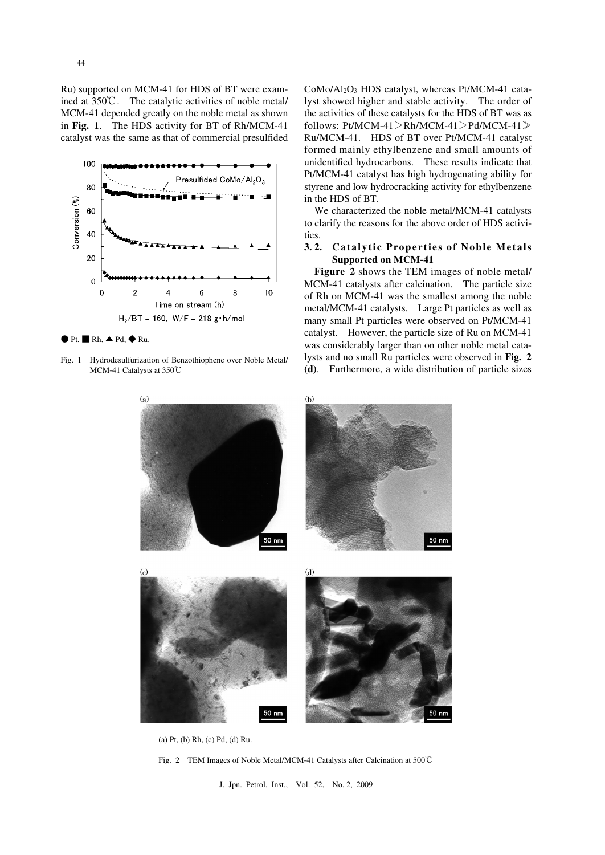Ru) supported on MCM-41 for HDS of BT were exam- ined at 350℃. The catalytic activities of noble metal/ MCM-41 depended greatly on the noble metal as shown  in **Fig. 1**. The HDS activity for BT of Rh/MCM-41 catalyst was the same as that of commercial presulfided



 $\bullet$  Pt,  $\blacksquare$  Rh,  $\blacktriangle$  Pd,  $\blacklozenge$  Ru.

 Fig. 1 Hydrodesulfurization of Benzothiophene over Noble Metal/ MCM-41 Catalysts at 350℃

 CoMo/Al2O3 HDS catalyst, whereas Pt/MCM-41 cata- lyst showed higher and stable activity. The order of the activities of these catalysts for the HDS of BT was as Ru/MCM-41. HDS of BT over Pt/MCM-41 catalyst formed mainly ethylbenzene and small amounts of unidentified hydrocarbons. These results indicate that Pt/MCM-41 catalyst has high hydrogenating ability for styrene and low hydrocracking activity for ethylbenzene in the HDS of BT. follows: Pt/MCM-41>Rh/MCM-41>Pd/MCM-41≫

 We characterized the noble metal/MCM-41 catalysts to clarify the reasons for the above order of HDS activities.

#### $3.2.$  **Supported on MCM-41 3. 2. Catalytic Properties of Noble Metals**

 **Figure 2** shows the TEM images of noble metal/ MCM-41 catalysts after calcination. The particle size of Rh on MCM-41 was the smallest among the noble metal/MCM-41 catalysts. Large Pt particles as well as many small Pt particles were observed on Pt/MCM-41 catalyst. However, the particle size of Ru on MCM-41 was considerably larger than on other noble metal cata- lysts and no small Ru particles were observed in **Fig. 2 (d)**. Furthermore, a wide distribution of particle sizes



(a) Pt, (b) Rh, (c) Pd, (d) Ru.

Fig. 2 TEM Images of Noble Metal/MCM-41 Catalysts after Calcination at 500℃

J. Jpn. Petrol. Inst., Vol. 52, No. 2, 2009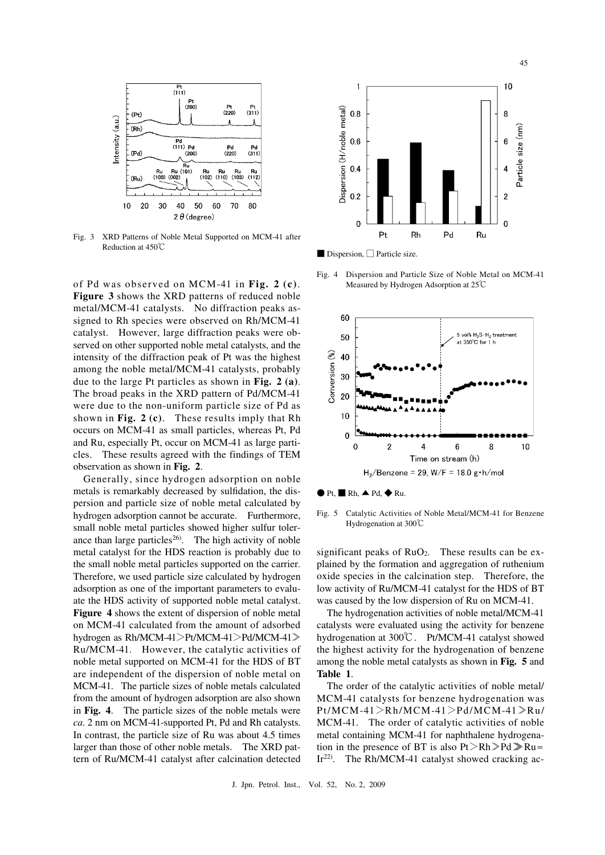

 $Fig. 3$  Reduction at 450℃ XRD Patterns of Noble Metal Supported on MCM-41 after

 of Pd was observed on MCM-41 in **Fig. 2 (c)**.  **Figure 3** shows the XRD patterns of reduced noble metal/MCM-41 catalysts. No diffraction peaks as- signed to Rh species were observed on Rh/MCM-41 catalyst. However, large diffraction peaks were ob- served on other supported noble metal catalysts, and the intensity of the diffraction peak of Pt was the highest among the noble metal/MCM-41 catalysts, probably due to the large Pt particles as shown in **Fig. 2 (a)**. The broad peaks in the XRD pattern of Pd/MCM-41 were due to the non-uniform particle size of Pd as shown in **Fig. 2 (c)**. These results imply that Rh occurs on MCM-41 as small particles, whereas Pt, Pd and Ru, especially Pt, occur on MCM-41 as large parti- cles. These results agreed with the findings of TEM observation as shown in **Fig. 2**.

 Generally, since hydrogen adsorption on noble metals is remarkably decreased by sulfidation, the dis- persion and particle size of noble metal calculated by hydrogen adsorption cannot be accurate. Furthermore, small noble metal particles showed higher sulfur tolerance than large particles<sup>26)</sup>. The high activity of noble metal catalyst for the HDS reaction is probably due to the small noble metal particles supported on the carrier. Therefore, we used particle size calculated by hydrogen adsorption as one of the important parameters to evalu- ate the HDS activity of supported noble metal catalyst. Figure 4 shows the extent of dispersion of noble metal on MCM-41 calculated from the amount of adsorbed hydrogen as Rh/MCM-41>Pt/MCM-41>Pd/MCM-41≫ Ru/MCM-41. However, the catalytic activities of noble metal supported on MCM-41 for the HDS of BT are independent of the dispersion of noble metal on MCM-41. The particle sizes of noble metals calculated from the amount of hydrogen adsorption are also shown  in **Fig. 4**. The particle sizes of the noble metals were *ca*. 2 nm on MCM-41-supported Pt, Pd and Rh catalysts. In contrast, the particle size of Ru was about 4.5 times larger than those of other noble metals. The XRD pat-tern of Ru/MCM-41 catalyst after calcination detected



■ Dispersion, □ Particle size.

 $Fig. 4$  Measured by Hydrogen Adsorption at 25℃ Dispersion and Particle Size of Noble Metal on MCM-41



Fig.  $5$  Hydrogenation at 300℃ Catalytic Activities of Noble Metal/MCM-41 for Benzene

significant peaks of  $RuO<sub>2</sub>$ . These results can be ex- plained by the formation and aggregation of ruthenium oxide species in the calcination step. Therefore, the low activity of Ru/MCM-41 catalyst for the HDS of BT was caused by the low dispersion of Ru on MCM-41.

 The hydrogenation activities of noble metal/MCM-41 catalysts were evaluated using the activity for benzene hydrogenation at 300℃. Pt/MCM-41 catalyst showed the highest activity for the hydrogenation of benzene among the noble metal catalysts as shown in **Fig. 5** and  **Table 1**.

 The order of the catalytic activities of noble metal/ MCM-41 catalysts for benzene hydrogenation was MCM-41. The order of catalytic activities of noble metal containing MCM-41 for naphthalene hydrogenation in the presence of BT is also  $Pt > Rh \gg Pd \gg Ru \approx$ Ir<sup>22)</sup>. The Rh/MCM-41 catalyst showed cracking ac-Pt/MCM -41>Rh/MCM-41>Pd/MCM -41≫Ru/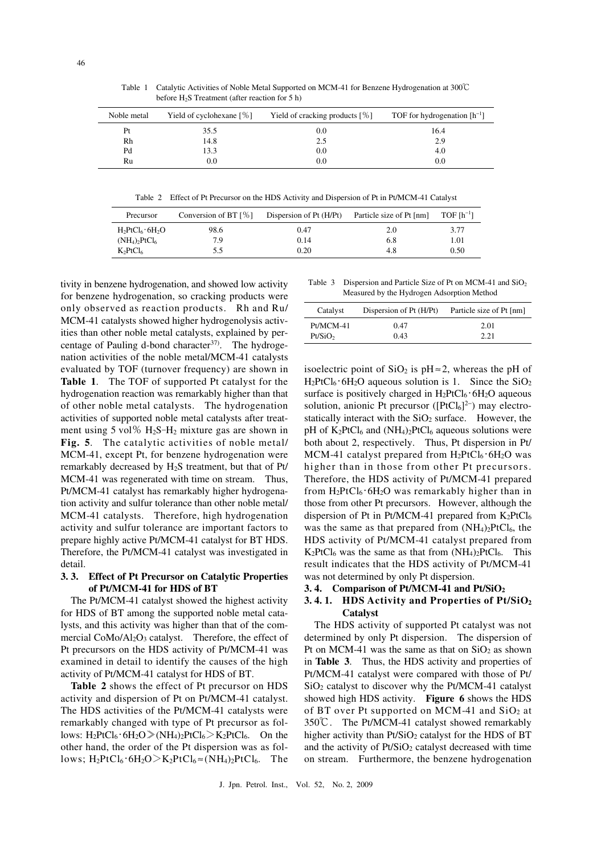Table 1 Catalytic Activities of Noble Metal Supported on MCM-41 for Benzene Hydrogenation at 300℃ before  $H_2S$  Treatment (after reaction for 5 h)

| Noble metal | Yield of cyclohexane $\lceil \% \rceil$ | Yield of cracking products $[%]$ | TOF for hydrogenation $[h^{-1}]$ |
|-------------|-----------------------------------------|----------------------------------|----------------------------------|
| Pt          | 35.5                                    | 0.0                              | 16.4                             |
| Rh          | 14.8                                    | 2.5                              | 2.9                              |
| Pd          | 13.3                                    | 0.0                              | 4.0                              |
| Ru          | $0.0\,$                                 | 0.0                              | 0.0                              |

Table 2 Effect of Pt Precursor on the HDS Activity and Dispersion of Pt in Pt/MCM-41 Catalyst

| Precursor                    | Conversion of BT $\lceil \% \rceil$ | Dispersion of Pt (H/Pt) | Particle size of Pt [nm] | $TOF[h^{-1}]$ |
|------------------------------|-------------------------------------|-------------------------|--------------------------|---------------|
| $H_2PtCl_6.6H_2O$            | 98.6                                | 0.47                    | 2.0                      | 3.77          |
| $(NH_4)$ , PtCl <sub>6</sub> | 7.9                                 | 0.14                    | 6.8                      | 1.01          |
| $K_2PtCl_6$                  | 5.5                                 | 0.20                    | 4.8                      | 0.50          |

 tivity in benzene hydrogenation, and showed low activity for benzene hydrogenation, so cracking products were only observed as reaction products. Rh and Ru/ MCM-41 catalysts showed higher hydrogenolysis activ- ities than other noble metal catalysts, explained by percentage of Pauling d-bond character<sup>37)</sup>. The hydroge nation activities of the noble metal/MCM-41 catalysts evaluated by TOF (turnover frequency) are shown in  **Table 1**. The TOF of supported Pt catalyst for the hydrogenation reaction was remarkably higher than that of other noble metal catalysts. The hydrogenation activities of supported noble metal catalysts after treatment using  $5 \text{ vol} \% \text{ H}_2\text{S-H}_2$  mixture gas are shown in  **Fig. 5**. The catalytic activities of noble metal/ MCM-41, except Pt, for benzene hydrogenation were remarkably decreased by H2S treatment, but that of Pt/ MCM-41 was regenerated with time on stream. Thus, Pt/MCM-41 catalyst has remarkably higher hydrogena- tion activity and sulfur tolerance than other noble metal/ MCM-41 catalysts. Therefore, high hydrogenation activity and sulfur tolerance are important factors to prepare highly active Pt/MCM-41 catalyst for BT HDS. Therefore, the Pt/MCM-41 catalyst was investigated in detail.

# **3. 3. Effect of Pt Precursor on Catalytic Properties of Pt/MCM-41 for HDS of BT**

 The Pt/MCM-41 catalyst showed the highest activity for HDS of BT among the supported noble metal cata- lysts, and this activity was higher than that of the commercial CoMo/Al<sub>2</sub>O<sub>3</sub> catalyst. Therefore, the effect of Pt precursors on the HDS activity of Pt/MCM-41 was examined in detail to identify the causes of the high activity of Pt/MCM-41 catalyst for HDS of BT.

 **Table 2** shows the effect of Pt precursor on HDS activity and dispersion of Pt on Pt/MCM-41 catalyst. The HDS activities of the Pt/MCM-41 catalysts were remarkably changed with type of Pt precursor as follows:  $H_2PtCl_6 \cdot 6H_2O \gg (NH_4)_2PtCl_6 > K_2PtCl_6.$  On the other hand, the order of the Pt dispersion was as follows;  $H_2PtCl_6 \cdot 6H_2O > K_2PtCl_6 \approx (NH_4)_2PtCl_6.$  The

Table 3 Measured by the Hydrogen Adsorption Method Dispersion and Particle Size of Pt on MCM-41 and  $SiO<sub>2</sub>$ 

| Catalyst            | Dispersion of Pt (H/Pt) | Particle size of Pt [nm] |
|---------------------|-------------------------|--------------------------|
| $Pt/MCM-41$         | 0.47                    | 2.01                     |
| Pt/SiO <sub>2</sub> | 0.43                    | 2.21                     |

isoelectric point of  $SiO<sub>2</sub>$  is pH  $\approx$  2, whereas the pH of  $H_2PtCl_6 \cdot 6H_2O$  aqueous solution is 1. Since the SiO<sub>2</sub> surface is positively charged in  $H_2PtCl_6 \cdot 6H_2O$  aqueous solution, anionic Pt precursor ( $[PtCl_6]^2$ ) may electrostatically interact with the  $SiO<sub>2</sub>$  surface. However, the pH of  $K_2PtCl_6$  and  $(NH_4)_2PtCl_6$  aqueous solutions were both about 2, respectively. Thus, Pt dispersion in Pt/ MCM-41 catalyst prepared from  $H_2PtCl_6 \cdot 6H_2O$  was higher than in those from other Pt precursors. Therefore, the HDS activity of Pt/MCM-41 prepared from  $H_2PtCl_6 \cdot 6H_2O$  was remarkably higher than in those from other Pt precursors. However, although the dispersion of Pt in Pt/MCM-41 prepared from  $K_2PtCl_6$ was the same as that prepared from  $(NH<sub>4</sub>)<sub>2</sub>PtCl<sub>6</sub>$ , the HDS activity of Pt/MCM-41 catalyst prepared from  $K_2PtCl_6$  was the same as that from  $(NH_4)_2PtCl_6$ . This result indicates that the HDS activity of Pt/MCM-41 was not determined by only Pt dispersion.

 **3. 4. Comparison of Pt/MCM-41 and Pt/SiO2** 

# **3. 4. 1. HDS Activity and Properties of Pt/SiO2 Catalyst**

 The HDS activity of supported Pt catalyst was not determined by only Pt dispersion. The dispersion of Pt on MCM-41 was the same as that on  $SiO<sub>2</sub>$  as shown  in **Table 3**. Thus, the HDS activity and properties of Pt/MCM-41 catalyst were compared with those of Pt/ SiO<sub>2</sub> catalyst to discover why the Pt/MCM-41 catalyst showed high HDS activity. **Figure 6** shows the HDS of BT over Pt supported on MCM-41 and  $SiO<sub>2</sub>$  at 350℃. The Pt/MCM-41 catalyst showed remarkably higher activity than  $Pt/SiO<sub>2</sub>$  catalyst for the HDS of BT and the activity of Pt/SiO<sub>2</sub> catalyst decreased with time on stream. Furthermore, the benzene hydrogenation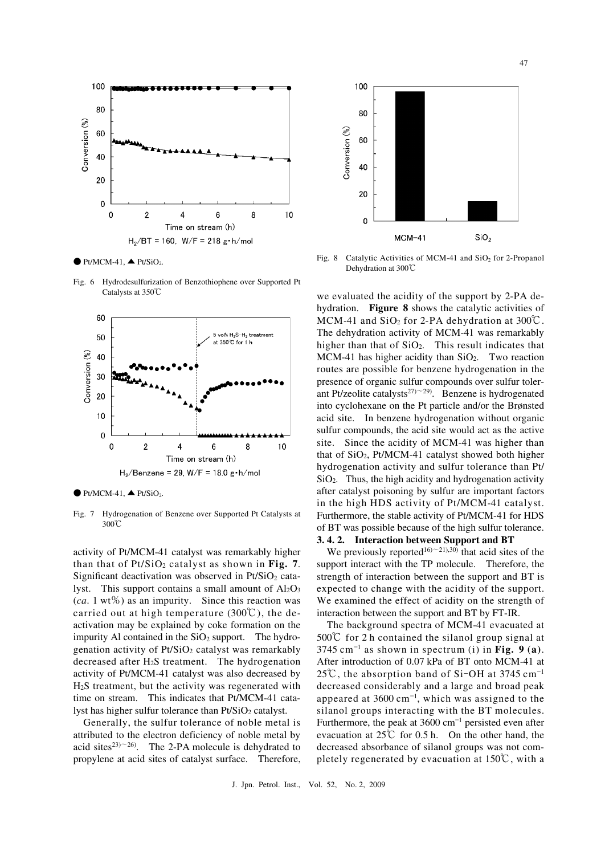

 $\bullet$  Pt/MCM-41,  $\bullet$  Pt/SiO<sub>2</sub>.

Fig.  $6$  Catalysts at 350℃ Hydrodesulfurization of Benzothiophene over Supported Pt



 $\bullet$  Pt/MCM-41,  $\bullet$  Pt/SiO<sub>2</sub>.

Fig. 7 Hydrogenation of Benzene over Supported Pt Catalysts at 300℃

 activity of Pt/MCM-41 catalyst was remarkably higher than that of Pt/SiO2 catalyst as shown in **Fig. 7**. Significant deactivation was observed in  $Pt/SiO<sub>2</sub>$  cata lyst. This support contains a small amount of  $Al_2O_3$  (*ca*. 1 wt%) as an impurity. Since this reaction was carried out at high temperature (300°C), the de activation may be explained by coke formation on the impurity Al contained in the  $SiO<sub>2</sub>$  support. The hydrogenation activity of Pt/SiO<sub>2</sub> catalyst was remarkably decreased after  $H_2S$  treatment. The hydrogenation activity of Pt/MCM-41 catalyst was also decreased by H2S treatment, but the activity was regenerated with time on stream. This indicates that Pt/MCM-41 catalyst has higher sulfur tolerance than Pt/SiO<sub>2</sub> catalyst.

 Generally, the sulfur tolerance of noble metal is attributed to the electron deficiency of noble metal by acid sites<sup>23) $\sim$ 26). The 2-PA molecule is dehydrated to</sup> propylene at acid sites of catalyst surface. Therefore,



Fig. 8 Dehydration at 300℃ Catalytic Activities of MCM-41 and  $SiO<sub>2</sub>$  for 2-Propanol

we evaluated the acidity of the support by 2-PA de- hydration. **Figure 8** shows the catalytic activities of MCM-41 and SiO2 for 2-PA dehydration at 300℃. The dehydration activity of MCM-41 was remarkably higher than that of  $SiO<sub>2</sub>$ . This result indicates that  $MCM-41$  has higher acidity than  $SiO<sub>2</sub>$ . Two reaction routes are possible for benzene hydrogenation in the presence of organic sulfur compounds over sulfur tolerant Pt/zeolite catalysts<sup>27) $\sim$ 29). Benzene is hydrogenated</sup> into cyclohexane on the Pt particle and/or the Brønsted acid site. In benzene hydrogenation without organic sulfur compounds, the acid site would act as the active site. Since the acidity of MCM-41 was higher than that of SiO<sub>2</sub>, Pt/MCM-41 catalyst showed both higher hydrogenation activity and sulfur tolerance than Pt/ SiO2. Thus, the high acidity and hydrogenation activity after catalyst poisoning by sulfur are important factors in the high HDS activity of Pt/MCM-41 catalyst. Furthermore, the stable activity of Pt/MCM-41 for HDS of BT was possible because of the high sulfur tolerance.

# **3. 4. 2. Interaction between Support and BT**

We previously reported<sup>16</sup> $\sim$ 21),30) that acid sites of the support interact with the TP molecule. Therefore, the strength of interaction between the support and BT is expected to change with the acidity of the support. We examined the effect of acidity on the strength of interaction between the support and BT by FT-IR.

 The background spectra of MCM-41 evacuated at 500℃ for 2 h contained the silanol group signal at  $3745 \text{ cm}^{-1}$  as shown in spectrum (i) in Fig. 9 (a). After introduction of 0.07 kPa of BT onto MCM-41 at  $25^{\circ}$ , the absorption band of Si-OH at 3745 cm<sup>-1</sup> 25°C, the absorption band of Si-OH at 3745 cm<sup>-1</sup> decreased considerably and a large and broad peak appeared at  $3600 \text{ cm}^{-1}$ , which was assigned to the silanol groups interacting with the BT molecules. Furthermore, the peak at  $3600 \text{ cm}^{-1}$  persisted even after evacuation at  $25^{\circ}C$  for 0.5 h. On the other hand, the decreased absorbance of silanol groups was not com-pletely regenerated by evacuation at 150℃, with a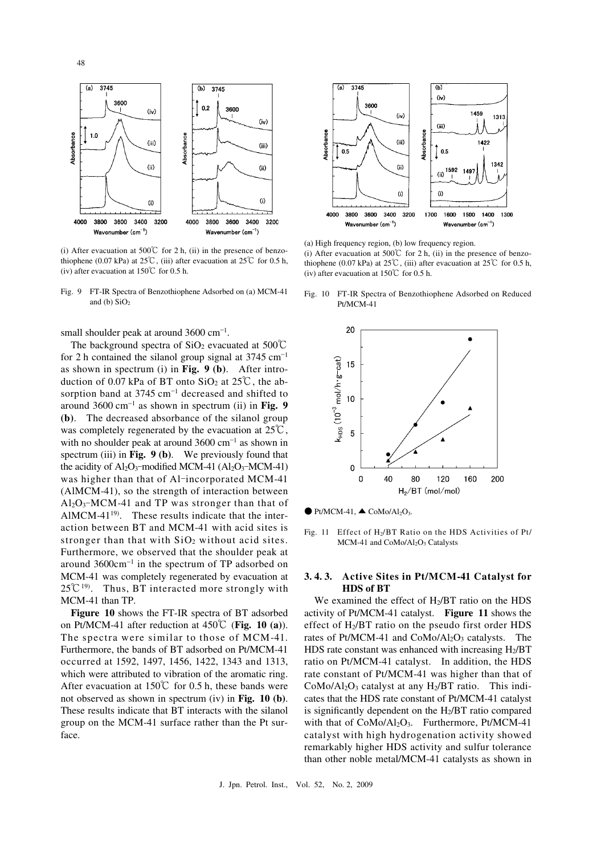

(i) After evacuation at 500°C for 2 h, (ii) in the presence of benzo thiophene (0.07 kPa) at 25℃, (iii) after evacuation at 25℃ for 0.5 h, (iv) after evacuation at  $150^{\circ}$  for 0.5 h.

 Fig. 9 FT-IR Spectra of Benzothiophene Adsorbed on (a) MCM-41 and (b)  $SiO<sub>2</sub>$ 

small shoulder peak at around  $3600 \text{ cm}^{-1}$ .

The background spectra of SiO<sub>2</sub> evacuated at 500°C for 2 h contained the silanol group signal at  $3745 \text{ cm}^{-1}$  as shown in spectrum (i) in **Fig. 9 (b)**. After introduction of 0.07 kPa of BT onto SiO<sub>2</sub> at 25<sup>°</sup>C, the ab sorption band at  $3745 \text{ cm}^{-1}$  decreased and shifted to around 3600 cm-1 as shown in spectrum (ii) in **Fig. 9 (b)**. The decreased absorbance of the silanol group was completely regenerated by the evacuation at  $25^{\circ}\text{C}$ , with no shoulder peak at around  $3600 \text{ cm}^{-1}$  as shown in spectrum (iii) in **Fig. 9 (b)**. We previously found that the acidity of  $Al_2O_3$ -modified MCM-41  $(Al_2O_3)$ the acidity of  $Al_2O_3$ -modified MCM-41 ( $Al_2O_3$ -MCM-41) was higher than that of  $Al$ -incorporated MCM-41 (AlMCM-41), so the strength of interaction between (AlMCM-41), so the strength of interaction between  $A l_2O_3$ -MCM-41 and TP was stronger than that of AlMCM-41 $19$ . These results indicate that the inter- action between BT and MCM-41 with acid sites is stronger than that with  $SiO<sub>2</sub>$  without acid sites. Furthermore, we observed that the shoulder peak at around  $3600 \text{cm}^{-1}$  in the spectrum of TP adsorbed on MCM-41 was completely regenerated by evacuation at  $25^{\circ}C^{19}$ . Thus, BT interacted more strongly with MCM-41 than TP.

 **Figure 10** shows the FT-IR spectra of BT adsorbed on Pt/MCM-41 after reduction at 450℃ (**Fig. 10 (a)**). The spectra were similar to those of MCM-41. Furthermore, the bands of BT adsorbed on Pt/MCM-41 occurred at 1592, 1497, 1456, 1422, 1343 and 1313, which were attributed to vibration of the aromatic ring. After evacuation at  $150^{\circ}$  for 0.5 h, these bands were not observed as shown in spectrum (iv) in **Fig. 10 (b)**. These results indicate that BT interacts with the silanol group on the MCM-41 surface rather than the Pt surface.



 (a) High frequency region, (b) low frequency region. (i) After evacuation at 500°C for 2 h, (ii) in the presence of benzo thiophene (0.07 kPa) at 25℃, (iii) after evacuation at 25℃ for 0.5 h, (iv) after evacuation at  $150^{\circ}$  for 0.5 h.

 Fig. 10 FT-IR Spectra of Benzothiophene Adsorbed on Reduced Pt/MCM-41



 $\bullet$  Pt/MCM-41,  $\bullet$  CoMo/Al<sub>2</sub>O<sub>3</sub>.

Fig. 11 Effect of H<sub>2</sub>/BT Ratio on the HDS Activities of Pt/ MCM-41 and CoMo/Al<sub>2</sub>O<sub>3</sub> Catalysts

# **3. 4. 3. Active Sites in Pt/MCM-41 Catalyst for HDS of BT**

We examined the effect of H<sub>2</sub>/BT ratio on the HDS activity of Pt/MCM-41 catalyst. **Figure 11** shows the effect of H<sub>2</sub>/BT ratio on the pseudo first order HDS rates of Pt/MCM-41 and  $CoMo/Al<sub>2</sub>O<sub>3</sub>$  catalysts. The HDS rate constant was enhanced with increasing H<sub>2</sub>/BT ratio on Pt/MCM-41 catalyst. In addition, the HDS rate constant of Pt/MCM-41 was higher than that of  $CoMo/Al<sub>2</sub>O<sub>3</sub>$  catalyst at any  $H<sub>2</sub>/BT$  ratio. This indi cates that the HDS rate constant of Pt/MCM-41 catalyst is significantly dependent on the H2/BT ratio compared with that of CoMo/Al<sub>2</sub>O<sub>3</sub>. Furthermore, Pt/MCM-41 catalyst with high hydrogenation activity showed remarkably higher HDS activity and sulfur tolerance than other noble metal/MCM-41 catalysts as shown in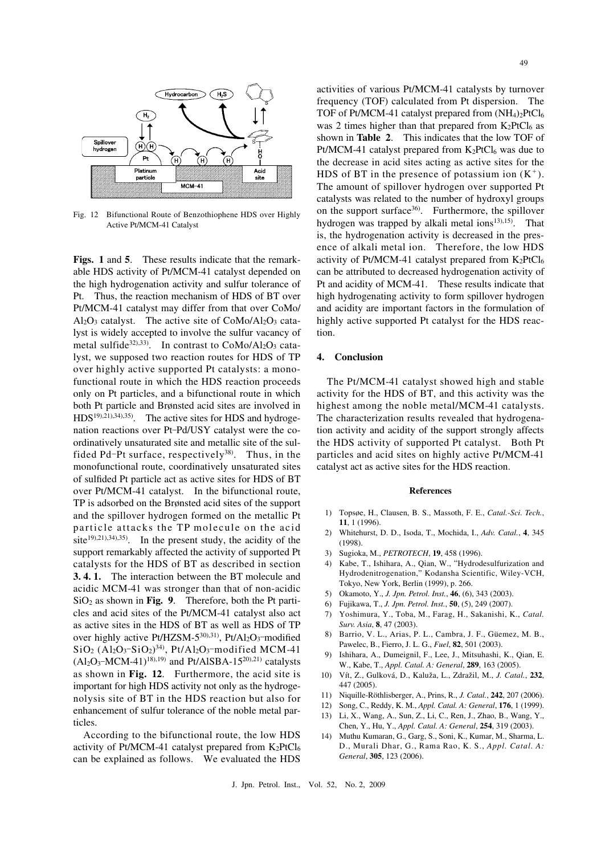

 Fig. 12 Bifunctional Route of Benzothiophene HDS over Highly Active Pt/MCM-41 Catalyst

Figs. 1 and 5. These results indicate that the remark able HDS activity of Pt/MCM-41 catalyst depended on the high hydrogenation activity and sulfur tolerance of Pt. Thus, the reaction mechanism of HDS of BT over Pt/MCM-41 catalyst may differ from that over CoMo/  $Al_2O_3$  catalyst. The active site of CoMo/ $Al_2O_3$  cata lyst is widely accepted to involve the sulfur vacancy of metal sulfide<sup>32),33)</sup>. In contrast to  $CoMo/Al<sub>2</sub>O<sub>3</sub>$  cata lyst, we supposed two reaction routes for HDS of TP over highly active supported Pt catalysts: a mono- functional route in which the HDS reaction proceeds only on Pt particles, and a bifunctional route in which both Pt particle and Brønsted acid sites are involved in  $HDS<sup>19</sup>,<sup>21</sup>,<sup>34</sup>,<sup>35</sup>$ . The active sites for HDS and hydrogenation reactions over Pt-Pd/USY catalyst were the co- ordinatively unsaturated site and metallic site of the sulfided Pd-Pt surface, respectively<sup>38)</sup>. Thus, in the monofunctional route, coordinatively unsaturated sites of sulfided Pt particle act as active sites for HDS of BT over Pt/MCM-41 catalyst. In the bifunctional route, TP is adsorbed on the Brønsted acid sites of the support and the spillover hydrogen formed on the metallic Pt particle attacks the TP molecule on the acid site<sup>19),21),34),35</sup>. In the present study, the acidity of the support remarkably affected the activity of supported Pt catalysts for the HDS of BT as described in section  **3. 4. 1.** The interaction between the BT molecule and acidic MCM-41 was stronger than that of non-acidic  $SiO<sub>2</sub>$  as shown in **Fig. 9**. Therefore, both the Pt parti- cles and acid sites of the Pt/MCM-41 catalyst also act as active sites in the HDS of BT as well as HDS of TP over highly active Pt/HZSM-5<sup>30),31)</sup>, Pt/Al<sub>2</sub>O<sub>3</sub>-modified SiO<sub>2</sub> (Al<sub>2</sub>O<sub>3</sub>-SiO<sub>2</sub>)<sup>34)</sup>, Pt/Al<sub>2</sub>O<sub>3</sub>-modified MCM-41  $(Al_2O_3$ -MCM-41)<sup>18),19)</sup> and Pt/AlSBA-15<sup>20),21)</sup> catalysts as shown in **Fig. 12**. Furthermore, the acid site is important for high HDS activity not only as the hydroge- nolysis site of BT in the HDS reaction but also for enhancement of sulfur tolerance of the noble metal parover highly active Pt/HZSM- $5^{30,31}$ , Pt/Al<sub>2</sub>O<sub>3</sub>-modified ticles.

 According to the bifunctional route, the low HDS activity of Pt/MCM-41 catalyst prepared from  $K_2PtCl_6$ can be explained as follows. We evaluated the HDS

 activities of various Pt/MCM-41 catalysts by turnover frequency (TOF) calculated from Pt dispersion. The TOF of Pt/MCM-41 catalyst prepared from  $(NH<sub>4</sub>)<sub>2</sub>PtCl<sub>6</sub>$ was 2 times higher than that prepared from  $K_2PtCl_6$  as shown in **Table 2**. This indicates that the low TOF of Pt/MCM-41 catalyst prepared from  $K_2PtCl_6$  was due to the decrease in acid sites acting as active sites for the HDS of BT in the presence of potassium ion  $(K^+)$ . The amount of spillover hydrogen over supported Pt catalysts was related to the number of hydroxyl groups on the support surface<sup>36)</sup>. Furthermore, the spillover hydrogen was trapped by alkali metal ions $13,15$ . That is, the hydrogenation activity is decreased in the pres- ence of alkali metal ion. Therefore, the low HDS activity of Pt/MCM-41 catalyst prepared from  $K_2PtCl_6$  can be attributed to decreased hydrogenation activity of Pt and acidity of MCM-41. These results indicate that high hydrogenating activity to form spillover hydrogen and acidity are important factors in the formulation of highly active supported Pt catalyst for the HDS reaction.

# **4. Conclusion**

 The Pt/MCM-41 catalyst showed high and stable activity for the HDS of BT, and this activity was the highest among the noble metal/MCM-41 catalysts. The characterization results revealed that hydrogena- tion activity and acidity of the support strongly affects the HDS activity of supported Pt catalyst. Both Pt particles and acid sites on highly active Pt/MCM-41 catalyst act as active sites for the HDS reaction.

#### **References**

- **11**, 1 (1996). 1) Topsøe, H., Clausen, B. S., Massoth, F. E., *Catal.-Sci. Tech.*,
- 2) Whitehurst, D. D., Isoda, T., Mochida, I., *Adv. Catal.*, **4**, 345 (1998).
- 3) Sugioka, M., *PETROTECH*, **19**, 458 (1996).
- Hydrodenitrogenation," Kodansha Scientific, Wiley-VCH, Tokyo, New York, Berlin (1999), p. 266. 4) Kabe, T., Ishihara, A., Qian, W., "Hydrodesulfurization and
- 5) Okamoto, Y., *J. Jpn. Petrol. Inst.*, **46**, (6), 343 (2003).
- 6) Fujikawa, T., *J. Jpn. Petrol. Inst.*, **50**, (5), 249 (2007).
- *Surv. Asia*, **8**, 47 (2003). 7) Yoshimura, Y., Toba, M., Farag, H., Sakanishi, K., *Catal.*
- Pawelec, B., Fierro, J. L. G., *Fuel*, **82**, 501 (2003). 8) Barrio, V. L., Arias, P. L., Cambra, J. F., Güemez, M. B.,
- W., Kabe, T., *Appl. Catal. A: General*, **289**, 163 (2005). 9) Ishihara, A., Dumeignil, F., Lee, J., Mitsuhashi, K., Qian, E.
- 10) Vít, Z., Gulková, D., Kaluža, L., Zdražil, M., *J. Catal.*, **232**, 447 (2005).
- 11) Niquille-Röthlisberger, A., Prins, R., *J. Catal.*, **242**, 207 (2006).
- 12) Song, C., Reddy, K. M., *Appl. Catal. A: General*, **176**, 1 (1999).
- Chen, Y., Hu, Y., *Appl. Catal. A: General*, **254**, 319 (2003). 13) Li, X., Wang, A., Sun, Z., Li, C., Ren, J., Zhao, B., Wang, Y.,
- D., Murali Dhar, G., Rama Rao, K. S., *Appl. Catal. A: General*, **305**, 123 (2006). 14) Muthu Kumaran, G., Garg, S., Soni, K., Kumar, M., Sharma, L.